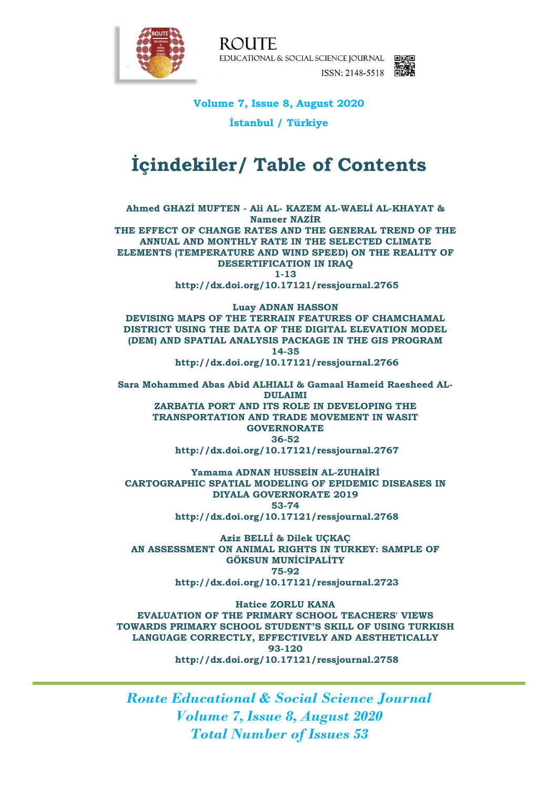

**ROUTE** EDUCATIONAL & SOCIAL SCIENCE JOURNAL EXE ISSN: 2148-5518

## **Volume 7, Issue 8, August 2020**

**İstanbul / Türkiye**

# **İçindekiler/ Table of Contents**

**Ahmed GHAZİ MUFTEN - Ali AL- KAZEM AL-WAELİ AL-KHAYAT & Nameer NAZİR THE EFFECT OF CHANGE RATES AND THE GENERAL TREND OF THE ANNUAL AND MONTHLY RATE IN THE SELECTED CLIMATE ELEMENTS (TEMPERATURE AND WIND SPEED) ON THE REALITY OF DESERTIFICATION IN IRAQ 1-13 http://dx.doi.org/10.17121/ressjournal.2765**

**Luay ADNAN HASSON DEVISING MAPS OF THE TERRAIN FEATURES OF CHAMCHAMAL DISTRICT USING THE DATA OF THE DIGITAL ELEVATION MODEL (DEM) AND SPATIAL ANALYSIS PACKAGE IN THE GIS PROGRAM 14-35 http://dx.doi.org/10.17121/ressjournal.2766**

**Sara Mohammed Abas Abid ALHIALI & Gamaal Hameid Raesheed AL-DULAIMI ZARBATIA PORT AND ITS ROLE IN DEVELOPING THE TRANSPORTATION AND TRADE MOVEMENT IN WASIT GOVERNORATE 36-52 http://dx.doi.org/10.17121/ressjournal.2767**

**Yamama ADNAN HUSSEİN AL-ZUHAİRİ CARTOGRAPHIC SPATIAL MODELING OF EPIDEMIC DISEASES IN DIYALA GOVERNORATE 2019 53-74 http://dx.doi.org/10.17121/ressjournal.2768**

**Aziz BELLİ & Dilek UÇKAÇ AN ASSESSMENT ON ANIMAL RIGHTS IN TURKEY: SAMPLE OF GÖKSUN MUNİCİPALİTY 75-92 http://dx.doi.org/10.17121/ressjournal.2723**

**Hatice ZORLU KANA EVALUATION OF THE PRIMARY SCHOOL TEACHERS' VIEWS TOWARDS PRIMARY SCHOOL STUDENT'S SKILL OF USING TURKISH LANGUAGE CORRECTLY, EFFECTIVELY AND AESTHETICALLY 93-120 http://dx.doi.org/10.17121/ressjournal.2758**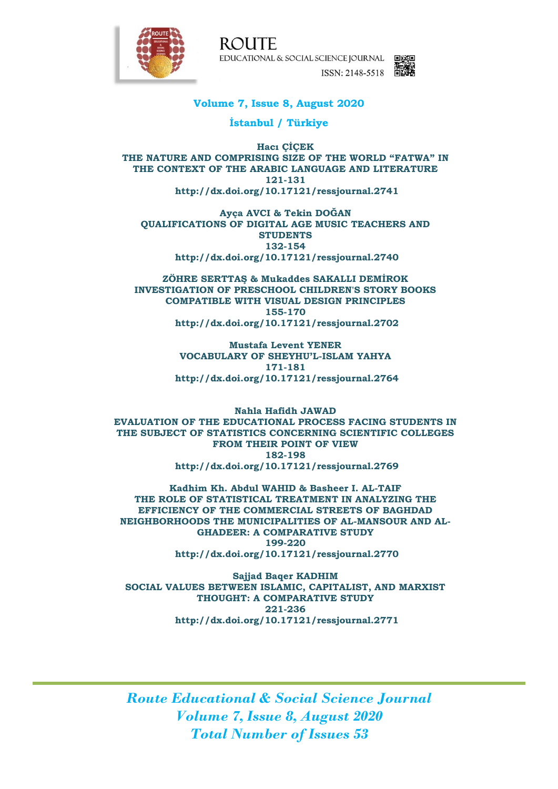

**ROUTE** EDUCATIONAL & SOCIAL SCIENCE JOURNAL ISSN: 2148-5518



### **Volume 7, Issue 8, August 2020**

**İstanbul / Türkiye**

**Hacı ÇİÇEK THE NATURE AND COMPRISING SIZE OF THE WORLD "FATWA" IN THE CONTEXT OF THE ARABIC LANGUAGE AND LITERATURE 121-131 http://dx.doi.org/10.17121/ressjournal.2741**

**Ayça AVCI & Tekin DOĞAN QUALIFICATIONS OF DIGITAL AGE MUSIC TEACHERS AND STUDENTS 132-154 http://dx.doi.org/10.17121/ressjournal.2740**

**ZÖHRE SERTTAŞ & Mukaddes SAKALLI DEMİROK INVESTIGATION OF PRESCHOOL CHILDREN'S STORY BOOKS COMPATIBLE WITH VISUAL DESIGN PRINCIPLES 155-170 http://dx.doi.org/10.17121/ressjournal.2702**

> **Mustafa Levent YENER VOCABULARY OF SHEYHU'L-ISLAM YAHYA 171-181 http://dx.doi.org/10.17121/ressjournal.2764**

**Nahla Hafidh JAWAD EVALUATION OF THE EDUCATIONAL PROCESS FACING STUDENTS IN THE SUBJECT OF STATISTICS CONCERNING SCIENTIFIC COLLEGES FROM THEIR POINT OF VIEW 182-198 http://dx.doi.org/10.17121/ressjournal.2769**

**Kadhim Kh. Abdul WAHID & Basheer I. AL-TAIF THE ROLE OF STATISTICAL TREATMENT IN ANALYZING THE EFFICIENCY OF THE COMMERCIAL STREETS OF BAGHDAD NEIGHBORHOODS THE MUNICIPALITIES OF AL-MANSOUR AND AL-GHADEER: A COMPARATIVE STUDY 199-220 http://dx.doi.org/10.17121/ressjournal.2770**

**Sajjad Baqer KADHIM SOCIAL VALUES BETWEEN ISLAMIC, CAPITALIST, AND MARXIST THOUGHT: A COMPARATIVE STUDY 221-236 http://dx.doi.org/10.17121/ressjournal.2771**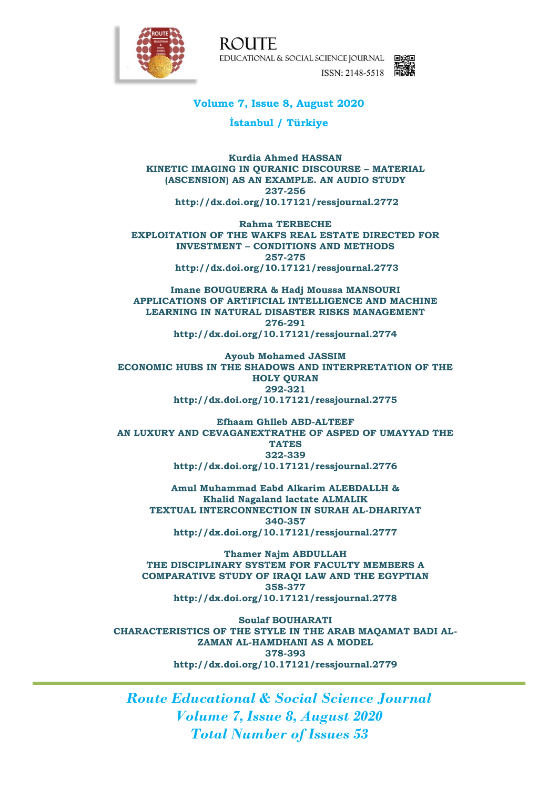

**ROUTE** EDUCATIONAL & SOCIAL SCIENCE JOURNAL EXE ISSN: 2148-5518



#### **Volume 7, Issue 8, August 2020**

**İstanbul / Türkiye**

**Kurdia Ahmed HASSAN KINETIC IMAGING IN QURANIC DISCOURSE – MATERIAL (ASCENSION) AS AN EXAMPLE. AN AUDIO STUDY 237-256 http://dx.doi.org/10.17121/ressjournal.2772**

**Rahma TERBECHE EXPLOITATION OF THE WAKFS REAL ESTATE DIRECTED FOR INVESTMENT – CONDITIONS AND METHODS 257-275 http://dx.doi.org/10.17121/ressjournal.2773**

**Imane BOUGUERRA & Hadj Moussa MANSOURI APPLICATIONS OF ARTIFICIAL INTELLIGENCE AND MACHINE LEARNING IN NATURAL DISASTER RISKS MANAGEMENT 276-291 http://dx.doi.org/10.17121/ressjournal.2774**

**Ayoub Mohamed JASSIM ECONOMIC HUBS IN THE SHADOWS AND INTERPRETATION OF THE HOLY QURAN 292-321 http://dx.doi.org/10.17121/ressjournal.2775**

**Efhaam Ghlleb ABD-ALTEEF AN LUXURY AND CEVAGANEXTRATHE OF ASPED OF UMAYYAD THE TATES 322-339 http://dx.doi.org/10.17121/ressjournal.2776**

**Amul Muhammad Eabd Alkarim ALEBDALLH & Khalid Nagaland lactate ALMALIK TEXTUAL INTERCONNECTION IN SURAH AL-DHARIYAT 340-357 http://dx.doi.org/10.17121/ressjournal.2777**

**Thamer Najm ABDULLAH THE DISCIPLINARY SYSTEM FOR FACULTY MEMBERS A COMPARATIVE STUDY OF IRAQI LAW AND THE EGYPTIAN 358-377 http://dx.doi.org/10.17121/ressjournal.2778**

**Soulaf BOUHARATI CHARACTERISTICS OF THE STYLE IN THE ARAB MAQAMAT BADI AL-ZAMAN AL-HAMDHANI AS A MODEL 378-393 http://dx.doi.org/10.17121/ressjournal.2779**